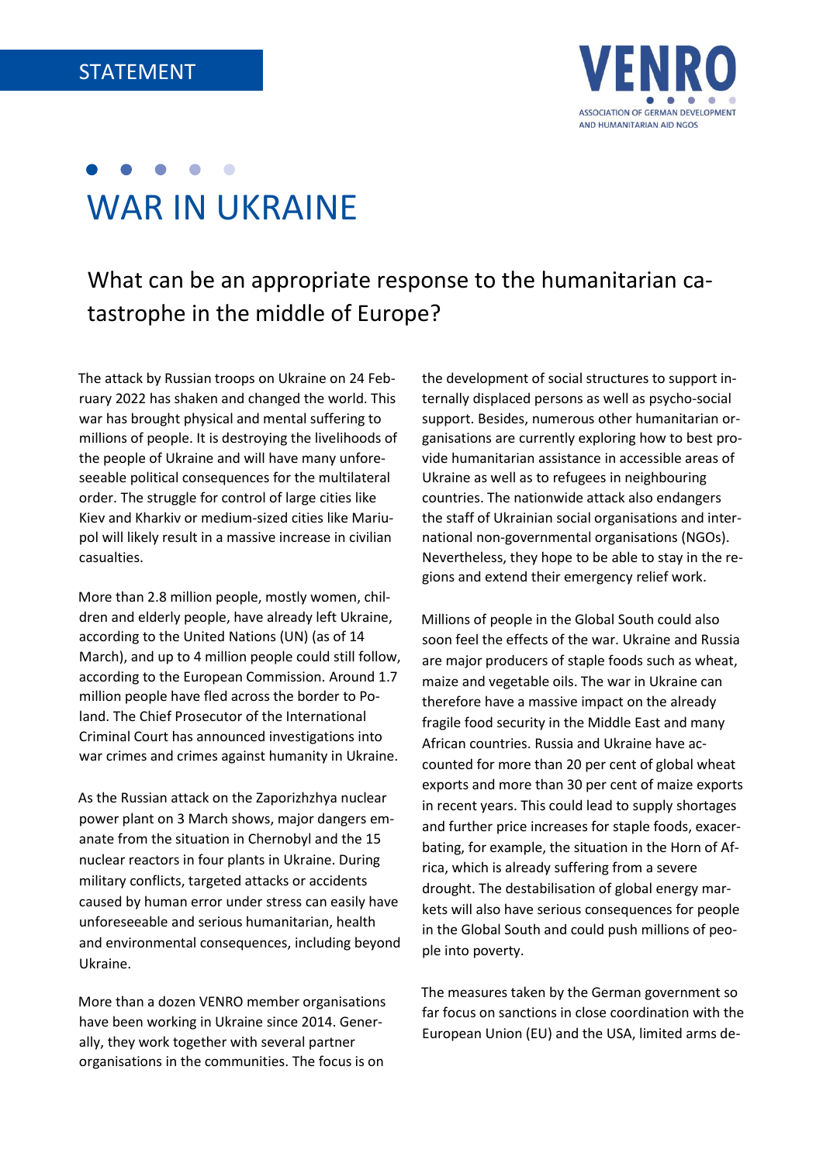

# WAR IN UKRAINE

What can be an appropriate response to the humanitarian catastrophe in the middle of Europe?

The attack by Russian troops on Ukraine on 24 February 2022 has shaken and changed the world. This war has brought physical and mental suffering to millions of people. It is destroying the livelihoods of the people of Ukraine and will have many unforeseeable political consequences for the multilateral order. The struggle for control of large cities like Kiev and Kharkiv or medium-sized cities like Mariupol will likely result in a massive increase in civilian casualties.

More than 2.8 million people, mostly women, children and elderly people, have already left Ukraine, according to the United Nations (UN) (as of 14 March), and up to 4 million people could still follow, according to the European Commission. Around 1.7 million people have fled across the border to Poland. The Chief Prosecutor of the International Criminal Court has announced investigations into war crimes and crimes against humanity in Ukraine.

As the Russian attack on the Zaporizhzhya nuclear power plant on 3 March shows, major dangers emanate from the situation in Chernobyl and the 15 nuclear reactors in four plants in Ukraine. During military conflicts, targeted attacks or accidents caused by human error under stress can easily have unforeseeable and serious humanitarian, health and environmental consequences, including beyond Ukraine.

More than a dozen VENRO member organisations have been working in Ukraine since 2014. Generally, they work together with several partner organisations in the communities. The focus is on

the development of social structures to support internally displaced persons as well as psycho-social support. Besides, numerous other humanitarian organisations are currently exploring how to best provide humanitarian assistance in accessible areas of Ukraine as well as to refugees in neighbouring countries. The nationwide attack also endangers the staff of Ukrainian social organisations and international non-governmental organisations (NGOs). Nevertheless, they hope to be able to stay in the regions and extend their emergency relief work.

Millions of people in the Global South could also soon feel the effects of the war. Ukraine and Russia are major producers of staple foods such as wheat, maize and vegetable oils. The war in Ukraine can therefore have a massive impact on the already fragile food security in the Middle East and many African countries. Russia and Ukraine have accounted for more than 20 per cent of global wheat exports and more than 30 per cent of maize exports in recent years. This could lead to supply shortages and further price increases for staple foods, exacerbating, for example, the situation in the Horn of Africa, which is already suffering from a severe drought. The destabilisation of global energy markets will also have serious consequences for people in the Global South and could push millions of people into poverty.

The measures taken by the German government so far focus on sanctions in close coordination with the European Union (EU) and the USA, limited arms de-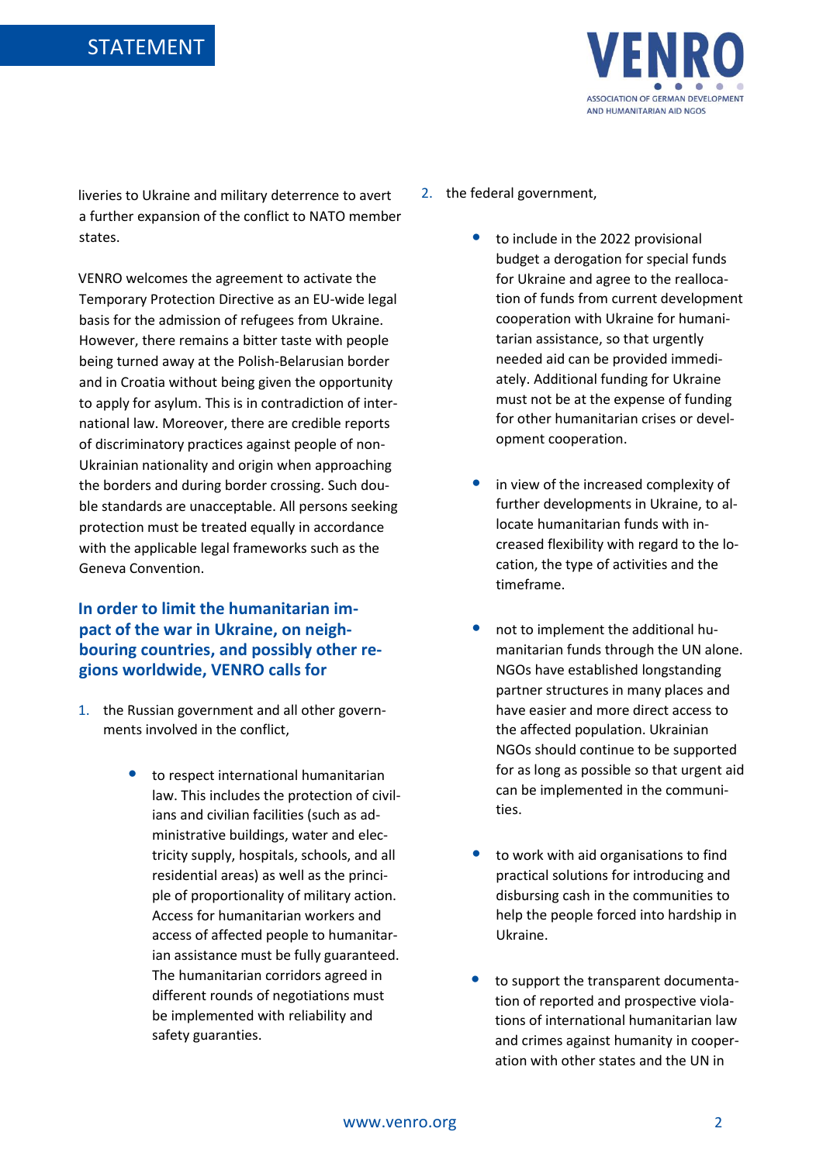

liveries to Ukraine and military deterrence to avert a further expansion of the conflict to NATO member states.

VENRO welcomes the agreement to activate the Temporary Protection Directive as an EU-wide legal basis for the admission of refugees from Ukraine. However, there remains a bitter taste with people being turned away at the Polish-Belarusian border and in Croatia without being given the opportunity to apply for asylum. This is in contradiction of international law. Moreover, there are credible reports of discriminatory practices against people of non-Ukrainian nationality and origin when approaching the borders and during border crossing. Such double standards are unacceptable. All persons seeking protection must be treated equally in accordance with the applicable legal frameworks such as the Geneva Convention.

### **In order to limit the humanitarian impact of the war in Ukraine, on neighbouring countries, and possibly other regions worldwide, VENRO calls for**

- 1. the Russian government and all other governments involved in the conflict,
	- to respect international humanitarian law. This includes the protection of civilians and civilian facilities (such as administrative buildings, water and electricity supply, hospitals, schools, and all residential areas) as well as the principle of proportionality of military action. Access for humanitarian workers and access of affected people to humanitarian assistance must be fully guaranteed. The humanitarian corridors agreed in different rounds of negotiations must be implemented with reliability and safety guaranties.
- 2. the federal government,
	- to include in the 2022 provisional budget a derogation for special funds for Ukraine and agree to the reallocation of funds from current development cooperation with Ukraine for humanitarian assistance, so that urgently needed aid can be provided immediately. Additional funding for Ukraine must not be at the expense of funding for other humanitarian crises or development cooperation.
	- in view of the increased complexity of further developments in Ukraine, to allocate humanitarian funds with increased flexibility with regard to the location, the type of activities and the timeframe.
	- not to implement the additional humanitarian funds through the UN alone. NGOs have established longstanding partner structures in many places and have easier and more direct access to the affected population. Ukrainian NGOs should continue to be supported for as long as possible so that urgent aid can be implemented in the communities.
	- to work with aid organisations to find practical solutions for introducing and disbursing cash in the communities to help the people forced into hardship in Ukraine.
	- to support the transparent documentation of reported and prospective violations of international humanitarian law and crimes against humanity in cooperation with other states and the UN in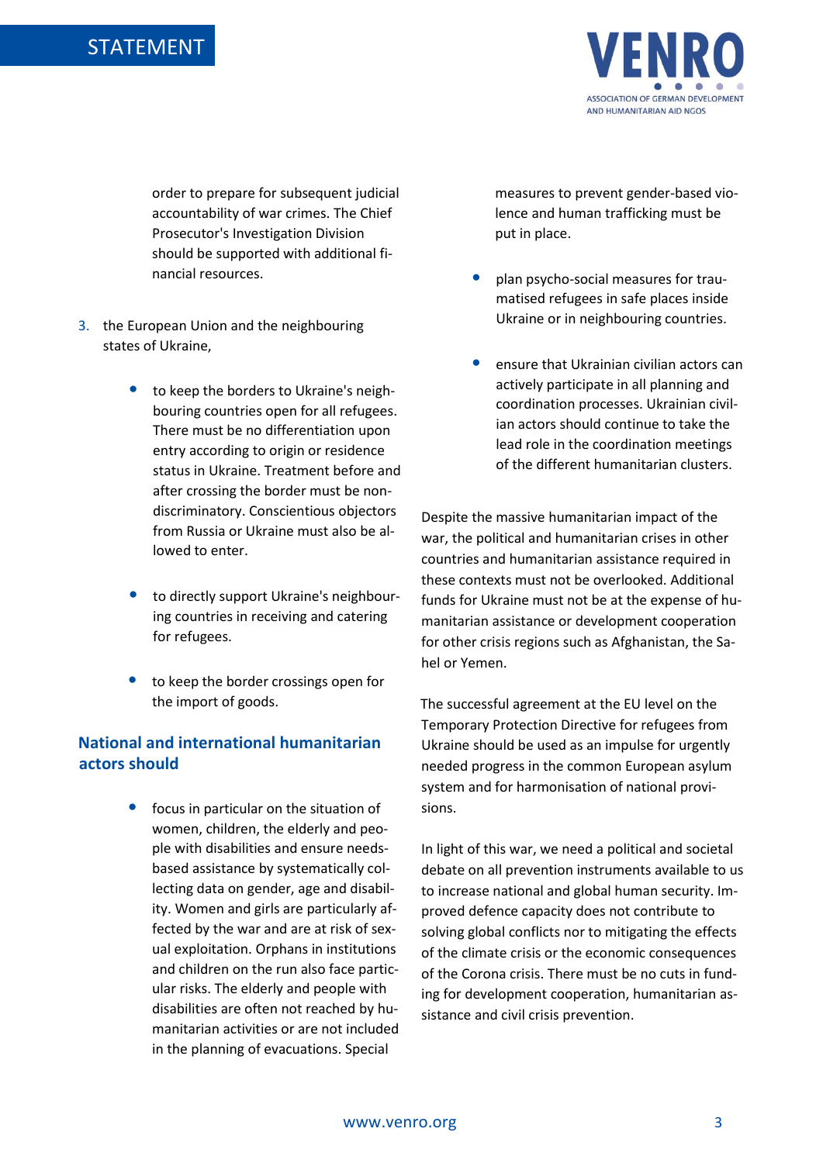

order to prepare for subsequent judicial accountability of war crimes. The Chief Prosecutor's Investigation Division should be supported with additional financial resources.

- 3. the European Union and the neighbouring states of Ukraine,
	- to keep the borders to Ukraine's neighbouring countries open for all refugees. There must be no differentiation upon entry according to origin or residence status in Ukraine. Treatment before and after crossing the border must be nondiscriminatory. Conscientious objectors from Russia or Ukraine must also be allowed to enter.
	- to directly support Ukraine's neighbouring countries in receiving and catering for refugees.
	- to keep the border crossings open for the import of goods.

#### **National and international humanitarian actors should**

focus in particular on the situation of women, children, the elderly and people with disabilities and ensure needsbased assistance by systematically collecting data on gender, age and disability. Women and girls are particularly affected by the war and are at risk of sexual exploitation. Orphans in institutions and children on the run also face particular risks. The elderly and people with disabilities are often not reached by humanitarian activities or are not included in the planning of evacuations. Special

measures to prevent gender-based violence and human trafficking must be put in place.

- plan psycho-social measures for traumatised refugees in safe places inside Ukraine or in neighbouring countries.
- ensure that Ukrainian civilian actors can actively participate in all planning and coordination processes. Ukrainian civilian actors should continue to take the lead role in the coordination meetings of the different humanitarian clusters.

Despite the massive humanitarian impact of the war, the political and humanitarian crises in other countries and humanitarian assistance required in these contexts must not be overlooked. Additional funds for Ukraine must not be at the expense of humanitarian assistance or development cooperation for other crisis regions such as Afghanistan, the Sahel or Yemen.

The successful agreement at the EU level on the Temporary Protection Directive for refugees from Ukraine should be used as an impulse for urgently needed progress in the common European asylum system and for harmonisation of national provisions.

In light of this war, we need a political and societal debate on all prevention instruments available to us to increase national and global human security. Improved defence capacity does not contribute to solving global conflicts nor to mitigating the effects of the climate crisis or the economic consequences of the Corona crisis. There must be no cuts in funding for development cooperation, humanitarian assistance and civil crisis prevention.